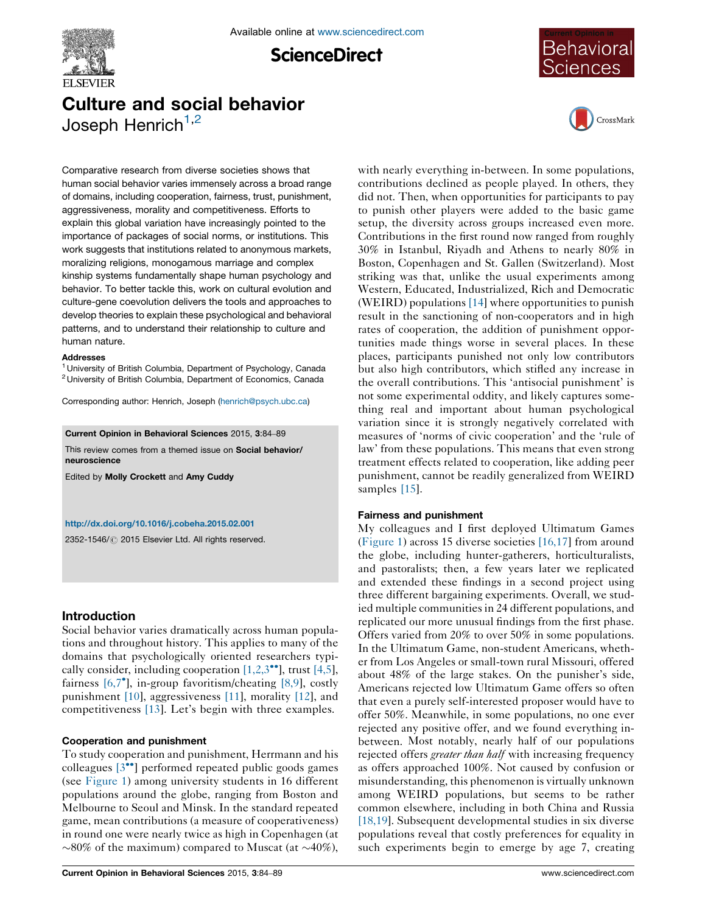

**ScienceDirect** 



# Culture and social behavior Joseph Henrich $1,2$



Comparative research from diverse societies shows that human social behavior varies immensely across a broad range of domains, including cooperation, fairness, trust, punishment, aggressiveness, morality and competitiveness. Efforts to explain this global variation have increasingly pointed to the importance of packages of social norms, or institutions. This work suggests that institutions related to anonymous markets, moralizing religions, monogamous marriage and complex kinship systems fundamentally shape human psychology and behavior. To better tackle this, work on cultural evolution and culture-gene coevolution delivers the tools and approaches to develop theories to explain these psychological and behavioral patterns, and to understand their relationship to culture and human nature.

#### **Addresses**

<sup>1</sup> University of British Columbia, Department of Psychology, Canada <sup>2</sup> University of British Columbia, Department of Economics, Canada

Corresponding author: Henrich, Joseph ([henrich@psych.ubc.ca](mailto:henrich@psych.ubc.ca))

Current Opinion in Behavioral Sciences 2015, 3:84–89

This review comes from a themed issue on Social behavior/ neuroscience

Edited by Molly Crockett and Amy Cuddy

#### <http://dx.doi.org/10.1016/j.cobeha.2015.02.001>

2352-1546/ C 2015 Elsevier Ltd. All rights reserved.

## Introduction

Social behavior varies dramatically across human populations and throughout history. This applies to many of the domains that psychologically oriented researchers typically consider, including cooperation  $[1,2,3^{\bullet\bullet}]$  $[1,2,3^{\bullet\bullet}]$ , trust  $[4,5]$  $[4,5]$ , fairness [\[6,7](#page-4-0)<sup>°</sup>], in-group favoritism/cheating [\[8,9\]](#page-4-0), costly punishment [\[10](#page-4-0)], aggressiveness [\[11\]](#page-4-0), morality [\[12](#page-4-0)], and competitiveness [\[13](#page-4-0)]. Let's begin with three examples.

#### Cooperation and punishment

To study cooperation and punishment, Herrmann and his colleagues [\[3](#page-4-0)<sup>••</sup>] performed repeated public goods games (see [Figure](#page-1-0) 1) among university students in 16 different populations around the globe, ranging from Boston and Melbourne to Seoul and Minsk. In the standard repeated game, mean contributions (a measure of cooperativeness) in round one were nearly twice as high in Copenhagen (at  $\sim$ 80% of the maximum) compared to Muscat (at  $\sim$ 40%), with nearly everything in-between. In some populations, contributions declined as people played. In others, they did not. Then, when opportunities for participants to pay to punish other players were added to the basic game setup, the diversity across groups increased even more. Contributions in the first round now ranged from roughly 30% in Istanbul, Riyadh and Athens to nearly 80% in Boston, Copenhagen and St. Gallen (Switzerland). Most striking was that, unlike the usual experiments among Western, Educated, Industrialized, Rich and Democratic (WEIRD) populations [\[14](#page-4-0)] where opportunities to punish result in the sanctioning of non-cooperators and in high rates of cooperation, the addition of punishment opportunities made things worse in several places. In these places, participants punished not only low contributors but also high contributors, which stifled any increase in the overall contributions. This 'antisocial punishment' is not some experimental oddity, and likely captures something real and important about human psychological variation since it is strongly negatively correlated with measures of 'norms of civic cooperation' and the 'rule of law' from these populations. This means that even strong treatment effects related to cooperation, like adding peer punishment, cannot be readily generalized from WEIRD samples [\[15\]](#page-4-0).

#### Fairness and punishment

My colleagues and I first deployed Ultimatum Games [\(Figure](#page-1-0) 1) across 15 diverse societies [\[16,17\]](#page-4-0) from around the globe, including hunter-gatherers, horticulturalists, and pastoralists; then, a few years later we replicated and extended these findings in a second project using three different bargaining experiments. Overall, we studied multiple communities in 24 different populations, and replicated our more unusual findings from the first phase. Offers varied from 20% to over 50% in some populations. In the Ultimatum Game, non-student Americans, whether from Los Angeles or small-town rural Missouri, offered about 48% of the large stakes. On the punisher's side, Americans rejected low Ultimatum Game offers so often that even a purely self-interested proposer would have to offer 50%. Meanwhile, in some populations, no one ever rejected any positive offer, and we found everything inbetween. Most notably, nearly half of our populations rejected offers *greater than half* with increasing frequency as offers approached 100%. Not caused by confusion or misunderstanding, this phenomenon is virtually unknown among WEIRD populations, but seems to be rather common elsewhere, including in both China and Russia [\[18,19\]](#page-4-0). Subsequent developmental studies in six diverse populations reveal that costly preferences for equality in such experiments begin to emerge by age 7, creating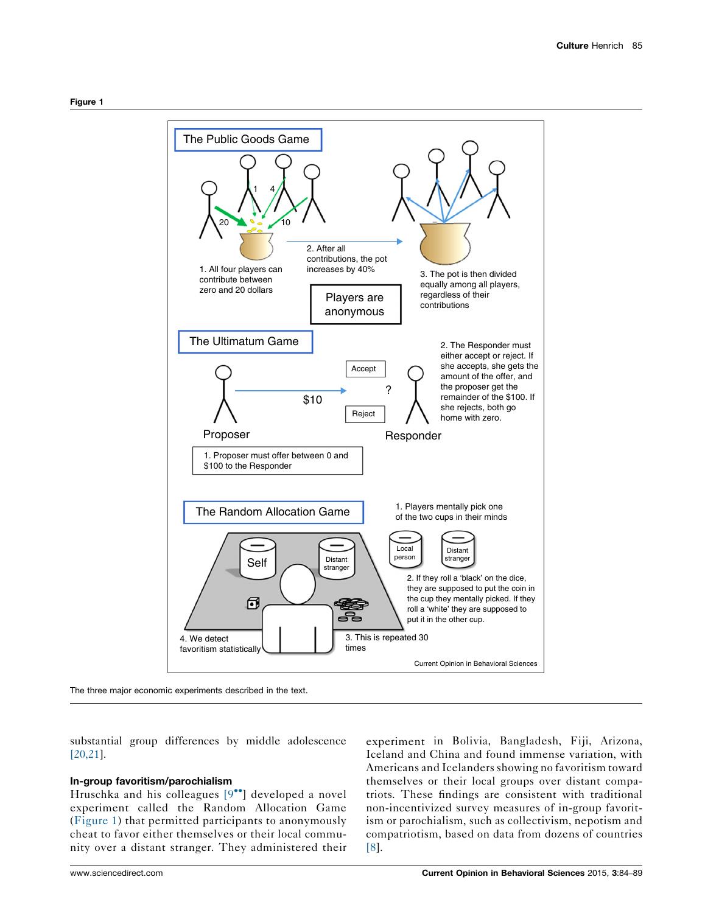<span id="page-1-0"></span>

The three major economic experiments described in the text.

substantial group differences by middle adolescence [\[20,21\]](#page-4-0).

#### In-group favoritism/parochialism

Hruschka and his colleagues [\[9](#page-4-0)"] developed a novel experiment called the Random Allocation Game (Figure 1) that permitted participants to anonymously cheat to favor either themselves or their local community over a distant stranger. They administered their

experiment in Bolivia, Bangladesh, Fiji, Arizona, Iceland and China and found immense variation, with Americans and Icelanders showing no favoritism toward themselves or their local groups over distant compatriots. These findings are consistent with traditional non-incentivized survey measures of in-group favoritism or parochialism, such as collectivism, nepotism and compatriotism, based on data from dozens of countries [\[8\]](#page-4-0).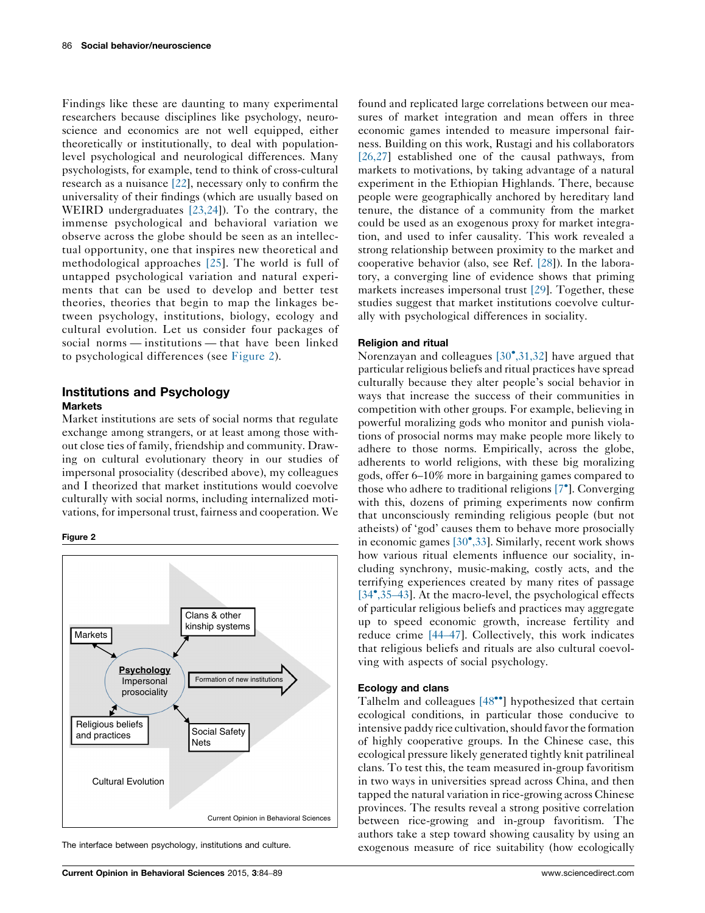Findings like these are daunting to many experimental researchers because disciplines like psychology, neuroscience and economics are not well equipped, either theoretically or institutionally, to deal with populationlevel psychological and neurological differences. Many psychologists, for example, tend to think of cross-cultural research as a nuisance [\[22](#page-4-0)], necessary only to confirm the universality of their findings (which are usually based on WEIRD undergraduates [\[23,24\]](#page-4-0)). To the contrary, the immense psychological and behavioral variation we observe across the globe should be seen as an intellectual opportunity, one that inspires new theoretical and methodological approaches [\[25\]](#page-4-0). The world is full of untapped psychological variation and natural experiments that can be used to develop and better test theories, theories that begin to map the linkages between psychology, institutions, biology, ecology and cultural evolution. Let us consider four packages of social norms — institutions — that have been linked to psychological differences (see Figure 2).

# Institutions and Psychology **Markets**

Market institutions are sets of social norms that regulate exchange among strangers, or at least among those without close ties of family, friendship and community. Drawing on cultural evolutionary theory in our studies of impersonal prosociality (described above), my colleagues and I theorized that market institutions would coevolve culturally with social norms, including internalized motivations, for impersonal trust, fairness and cooperation. We





The interface between psychology, institutions and culture.

found and replicated large correlations between our measures of market integration and mean offers in three economic games intended to measure impersonal fairness. Building on this work, Rustagi and his collaborators [\[26,27\]](#page-4-0) established one of the causal pathways, from markets to motivations, by taking advantage of a natural experiment in the Ethiopian Highlands. There, because people were geographically anchored by hereditary land tenure, the distance of a community from the market could be used as an exogenous proxy for market integration, and used to infer causality. This work revealed a strong relationship between proximity to the market and cooperative behavior (also, see Ref. [\[28](#page-4-0)]). In the laboratory, a converging line of evidence shows that priming markets increases impersonal trust [\[29](#page-4-0)]. Together, these studies suggest that market institutions coevolve culturally with psychological differences in sociality.

#### Religion and ritual

Norenzayan and colleagues [\[30](#page-4-0)°[,31,32](#page-4-0)] have argued that particular religious beliefs and ritual practices have spread culturally because they alter people's social behavior in ways that increase the success of their communities in competition with other groups. For example, believing in powerful moralizing gods who monitor and punish violations of prosocial norms may make people more likely to adhere to those norms. Empirically, across the globe, adherents to world religions, with these big moralizing gods, offer 6–10% more in bargaining games compared to those who adhere to traditional religions [\[7](#page-4-0)<sup>°</sup>]. Converging with this, dozens of priming experiments now confirm that unconsciously reminding religious people (but not atheists) of 'god' causes them to behave more prosocially in economic games [\[30](#page-4-0)°[,33\]](#page-4-0). Similarly, recent work shows how various ritual elements influence our sociality, including synchrony, music-making, costly acts, and the terrifying experiences created by many rites of passage [\[34](#page-4-0)[,35](#page-4-0)-43]. At the macro-level, the psychological effects of particular religious beliefs and practices may aggregate up to speed economic growth, increase fertility and reduce crime [\[44](#page-5-0)–47]. Collectively, this work indicates that religious beliefs and rituals are also cultural coevolving with aspects of social psychology.

#### Ecology and clans

Talhelm and colleagues [\[48](#page-5-0)<sup>\*</sup>] hypothesized that certain ecological conditions, in particular those conducive to intensive paddy rice cultivation, should favor the formation of highly cooperative groups. In the Chinese case, this ecological pressure likely generated tightly knit patrilineal clans. To test this, the team measured in-group favoritism in two ways in universities spread across China, and then tapped the natural variation in rice-growing across Chinese provinces. The results reveal a strong positive correlation between rice-growing and in-group favoritism. The authors take a step toward showing causality by using an exogenous measure of rice suitability (how ecologically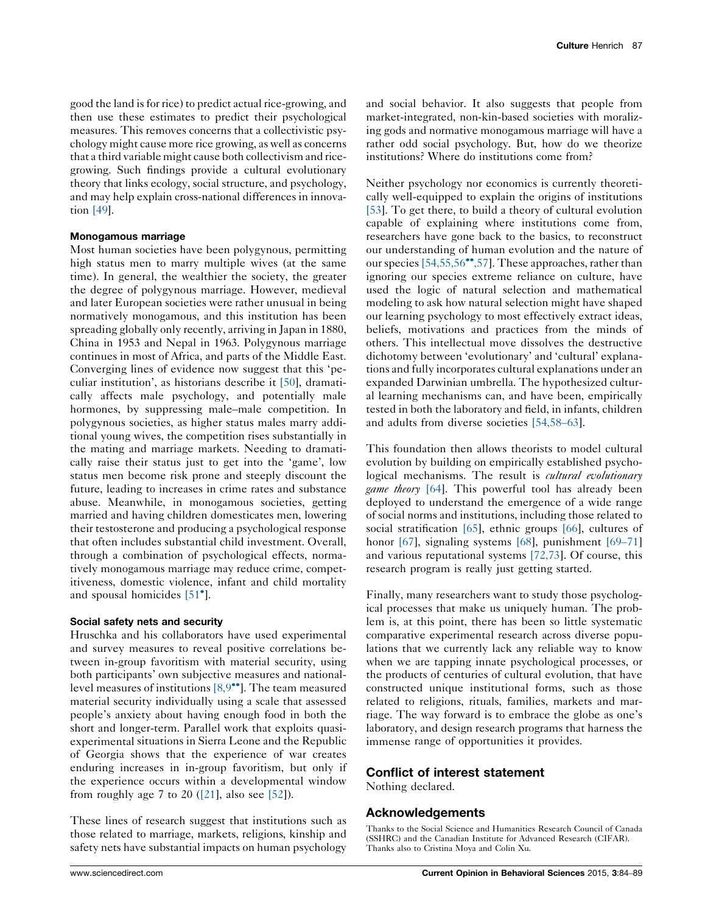good the land isfor rice) to predict actual rice-growing, and then use these estimates to predict their psychological measures. This removes concerns that a collectivistic psychology might cause more rice growing, as well as concerns that a third variable might cause both collectivism and ricegrowing. Such findings provide a cultural evolutionary theory that links ecology, social structure, and psychology, and may help explain cross-national differences in innovation [\[49](#page-5-0)].

#### Monogamous marriage

Most human societies have been polygynous, permitting high status men to marry multiple wives (at the same time). In general, the wealthier the society, the greater the degree of polygynous marriage. However, medieval and later European societies were rather unusual in being normatively monogamous, and this institution has been spreading globally only recently, arriving in Japan in 1880, China in 1953 and Nepal in 1963. Polygynous marriage continues in most of Africa, and parts of the Middle East. Converging lines of evidence now suggest that this 'peculiar institution', as historians describe it [\[50\]](#page-5-0), dramatically affects male psychology, and potentially male hormones, by suppressing male–male competition. In polygynous societies, as higher status males marry additional young wives, the competition rises substantially in the mating and marriage markets. Needing to dramatically raise their status just to get into the 'game', low status men become risk prone and steeply discount the future, leading to increases in crime rates and substance abuse. Meanwhile, in monogamous societies, getting married and having children domesticates men, lowering their testosterone and producing a psychological response that often includes substantial child investment. Overall, through a combination of psychological effects, normatively monogamous marriage may reduce crime, competitiveness, domestic violence, infant and child mortality and spousal homicides [\[51](#page-5-0)°].

## Social safety nets and security

Hruschka and his collaborators have used experimental and survey measures to reveal positive correlations between in-group favoritism with material security, using both participants' own subjective measures and nationallevel measures of institutions  $[8,9^{\bullet\bullet}]$  $[8,9^{\bullet\bullet}]$ . The team measured material security individually using a scale that assessed people's anxiety about having enough food in both the short and longer-term. Parallel work that exploits quasiexperimental situations in Sierra Leone and the Republic of Georgia shows that the experience of war creates enduring increases in in-group favoritism, but only if the experience occurs within a developmental window from roughly age 7 to 20  $([21]$  $([21]$ , also see [\[52](#page-5-0)]).

These lines of research suggest that institutions such as those related to marriage, markets, religions, kinship and safety nets have substantial impacts on human psychology and social behavior. It also suggests that people from market-integrated, non-kin-based societies with moralizing gods and normative monogamous marriage will have a rather odd social psychology. But, how do we theorize institutions? Where do institutions come from?

Neither psychology nor economics is currently theoretically well-equipped to explain the origins of institutions [\[53](#page-5-0)]. To get there, to build a theory of cultural evolution capable of explaining where institutions come from, researchers have gone back to the basics, to reconstruct our understanding of human evolution and the nature of our species [\[54,55,56](#page-5-0)<sup>\*\*</sup>[,57\]](#page-5-0). These approaches, rather than ignoring our species extreme reliance on culture, have used the logic of natural selection and mathematical modeling to ask how natural selection might have shaped our learning psychology to most effectively extract ideas, beliefs, motivations and practices from the minds of others. This intellectual move dissolves the destructive dichotomy between 'evolutionary' and 'cultural' explanations and fully incorporates cultural explanations under an expanded Darwinian umbrella. The hypothesized cultural learning mechanisms can, and have been, empirically tested in both the laboratory and field, in infants, children and adults from diverse societies [\[54,58](#page-5-0)–63].

This foundation then allows theorists to model cultural evolution by building on empirically established psychological mechanisms. The result is *cultural evolutionary game theory* [\[64\]](#page-5-0). This powerful tool has already been deployed to understand the emergence of a wide range of social norms and institutions, including those related to social stratification [\[65\]](#page-5-0), ethnic groups [\[66](#page-5-0)], cultures of honor [\[67\]](#page-5-0), signaling systems [\[68](#page-5-0)], punishment [\[69](#page-5-0)–71] and various reputational systems [\[72,73\]](#page-5-0). Of course, this research program is really just getting started.

Finally, many researchers want to study those psychological processes that make us uniquely human. The problem is, at this point, there has been so little systematic comparative experimental research across diverse populations that we currently lack any reliable way to know when we are tapping innate psychological processes, or the products of centuries of cultural evolution, that have constructed unique institutional forms, such as those related to religions, rituals, families, markets and marriage. The way forward is to embrace the globe as one's laboratory, and design research programs that harness the immense range of opportunities it provides.

## Conflict of interest statement

Nothing declared.

## Acknowledgements

Thanks to the Social Science and Humanities Research Council of Canada (SSHRC) and the Canadian Institute for Advanced Research (CIFAR). Thanks also to Cristina Moya and Colin Xu.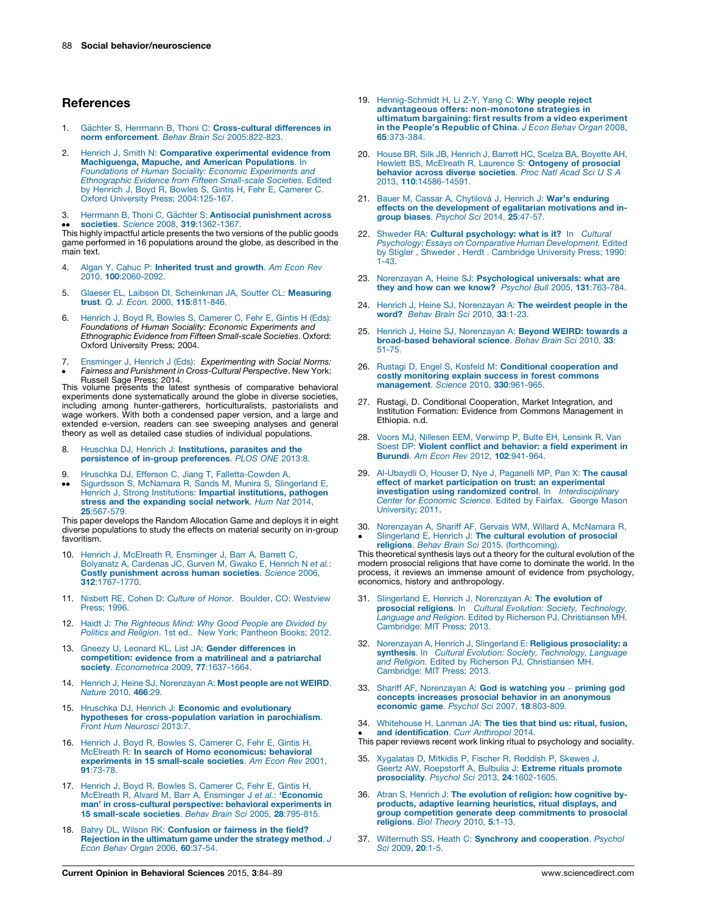## <span id="page-4-0"></span>**References**

- 1. Gächter S, Herrmann B, Thoni C: [Cross-cultural](http://refhub.elsevier.com/S2352-1546(15)00025-X/sbref0370) differences in norm enforcement. Behav Brain Sci [2005:822-823.](http://refhub.elsevier.com/S2352-1546(15)00025-X/sbref0370)
- 2. Henrich J. Smith N: Comparative [experimental](http://refhub.elsevier.com/S2352-1546(15)00025-X/sbref0375) evidence from **[Machiguenga,](http://refhub.elsevier.com/S2352-1546(15)00025-X/sbref0375) Mapuche, and American Populations**. In<br>Foundations of Human Sociality: Economic [Experiments](http://refhub.elsevier.com/S2352-1546(15)00025-X/sbref0375) and [Ethnographic](http://refhub.elsevier.com/S2352-1546(15)00025-X/sbref0375) Evidence from Fifteen Small-scale Societies. Edited by Henrich J, Boyd R, Bowles S, Gintis H, Fehr E, [Camerer](http://refhub.elsevier.com/S2352-1546(15)00025-X/sbref0375) C. Oxford [University](http://refhub.elsevier.com/S2352-1546(15)00025-X/sbref0375) Press; 2004[:125-167.](http://refhub.elsevier.com/S2352-1546(15)00025-X/sbref0375)
- 3. Herrmann B, Thoni C, Gächter S: Antisocial [punishment](http://refhub.elsevier.com/S2352-1546(15)00025-X/sbref0380) across

●● societies. Science 2008, 319:1362-1367.<br>This highly impactful article presents the two versions of the public goods societies. Science 2008, 319[:1362-1367.](http://refhub.elsevier.com/S2352-1546(15)00025-X/sbref0380) game performed in 16 populations around the globe, as described in the main text.

- 4. Algan Y, Cahuc P: [Inherited](http://refhub.elsevier.com/S2352-1546(15)00025-X/sbref0385) trust and growth. Am Econ Rev 2010, 100[:2060-2092.](http://refhub.elsevier.com/S2352-1546(15)00025-X/sbref0385)
- 5. Glaeser EL, Laibson DI, [Scheinkman](http://refhub.elsevier.com/S2352-1546(15)00025-X/sbref0390) JA, Soutter CL: Measuring trust. Q. J. Econ. 2000, 115[:811-846.](http://refhub.elsevier.com/S2352-1546(15)00025-X/sbref0390)
- 6. Henrich J, Boyd R, Bowles S, [Camerer](http://refhub.elsevier.com/S2352-1546(15)00025-X/sbref0395) C, Fehr E, Gintis H (Eds): Foundations of Human Sociality: Economic [Experiments](http://refhub.elsevier.com/S2352-1546(15)00025-X/sbref0395) and [Ethnographic](http://refhub.elsevier.com/S2352-1546(15)00025-X/sbref0395) Evidence from Fifteen Small-scale Societies. Oxford: Oxford University Press; 2004.
- 7. Ensminger J, Henrich J (Eds): [Experimenting](http://refhub.elsevier.com/S2352-1546(15)00025-X/sbref0400) with Social Norms: Fairness and Punishment in [Cross-Cultural](http://refhub.elsevier.com/S2352-1546(15)00025-X/sbref0400) Perspective. New York:

Fairness and Punishment in Cross-Cultural Perspective. New York:<br>Russell Sage Press; 2014.<br>This volume presents the latest synthesis of comparative behavioral experiments done systematically around the globe in diverse societies, including among hunter-gatherers, horticulturalists, pastorialists and wage workers. With both a condensed paper version, and a large and extended e-version, readers can see sweeping analyses and general theory as well as detailed case studies of individual populations.

- Hruschka DJ, Henrich J: [Institutions,](http://refhub.elsevier.com/S2352-1546(15)00025-X/sbref0405) parasites and the persistence of in-group [preferences](http://refhub.elsevier.com/S2352-1546(15)00025-X/sbref0405). PLOS ONE 2013:8.
- 9. Hruschka DJ, Efferson C, Jiang T, [Falletta-Cowden](http://refhub.elsevier.com/S2352-1546(15)00025-X/sbref0410) A,
- $\bullet$  $\bullet$ [Sigurdsson](http://refhub.elsevier.com/S2352-1546(15)00025-X/sbref0410) S, McNamara R, Sands M, Munira S, Slingerland E, Henrich J, Strong Institutions: Impartial [institutions,](http://refhub.elsevier.com/S2352-1546(15)00025-X/sbref0410) pathogen stress and the [expanding](http://refhub.elsevier.com/S2352-1546(15)00025-X/sbref0410) social network. Hum Nat 2014, 25[:567-579.](http://refhub.elsevier.com/S2352-1546(15)00025-X/sbref0410)

This paper develops the Random Allocation Game and deploys it in eight diverse populations to study the effects on material security on in-group favoritism.

- 10. Henrich J, McElreath R, [Ensminger](http://refhub.elsevier.com/S2352-1546(15)00025-X/sbref0415) J, Barr A, Barrett C,<br>[Bolyanatz](http://refhub.elsevier.com/S2352-1546(15)00025-X/sbref0415) A, Cardenas JC, Gurven M, Gwako E, Henrich N e*t al.*: Costly [punishment](http://refhub.elsevier.com/S2352-1546(15)00025-X/sbref0415) across human societies. Science 2006, 312[:1767-1770.](http://refhub.elsevier.com/S2352-1546(15)00025-X/sbref0415)
- 11. Nisbett RE, Cohen D: Culture of Honor. Boulder, CO: [Westview](http://refhub.elsevier.com/S2352-1546(15)00025-X/sbref0420) [Press;](http://refhub.elsevier.com/S2352-1546(15)00025-X/sbref0420) 1996.
- 12. Haidt J: The [Righteous](http://refhub.elsevier.com/S2352-1546(15)00025-X/sbref0425) Mind: Why Good People are Divided by Politics and Religion. 1st ed.. New York: [Pantheon](http://refhub.elsevier.com/S2352-1546(15)00025-X/sbref0425) Books; 2012.
- 13. Gneezy U, Leonard KL, List JA: Gender [differences](http://refhub.elsevier.com/S2352-1546(15)00025-X/sbref0430) in [competition:](http://refhub.elsevier.com/S2352-1546(15)00025-X/sbref0430) evidence from a matrilineal and a patriarchal society. [Econometrica](http://refhub.elsevier.com/S2352-1546(15)00025-X/sbref0430) 2009, 77:1637-1664.
- 14. Henrich J, Heine SJ, [Norenzayan](http://refhub.elsevier.com/S2352-1546(15)00025-X/sbref0435) A: Most people are not WEIRD. [Nature](http://refhub.elsevier.com/S2352-1546(15)00025-X/sbref0435) 2010, 466:29.
- 15. Hruschka DJ, Henrich J: Economic and [evolutionary](http://refhub.elsevier.com/S2352-1546(15)00025-X/sbref0440) hypotheses for [cross-population](http://refhub.elsevier.com/S2352-1546(15)00025-X/sbref0440) variation in parochialism. Front Hum [Neurosci](http://refhub.elsevier.com/S2352-1546(15)00025-X/sbref0440) 2013:7.
- 16. Henrich J, Boyd R, Bowles S, [Camerer](http://refhub.elsevier.com/S2352-1546(15)00025-X/sbref0445) C, Fehr E, Gintis H, McElreath R: In search of Homo [economicus:](http://refhub.elsevier.com/S2352-1546(15)00025-X/sbref0445) behavioral [experiments](http://refhub.elsevier.com/S2352-1546(15)00025-X/sbref0445) in 15 small-scale societies. Am Econ Rev 2001, 91[:73-78.](http://refhub.elsevier.com/S2352-1546(15)00025-X/sbref0445)
- 17. Henrich J, Boyd R, Bowles S, [Camerer](http://refhub.elsevier.com/S2352-1546(15)00025-X/sbref0450) C, Fehr E, Gintis H, McElreath R, Alvard M, Barr A, Ensminger J et al.: ['Economic](http://refhub.elsevier.com/S2352-1546(15)00025-X/sbref0450) man' in [cross-cultural](http://refhub.elsevier.com/S2352-1546(15)00025-X/sbref0450) perspective: behavioral experiments in 15 [small-scale](http://refhub.elsevier.com/S2352-1546(15)00025-X/sbref0450) societies. Behav Brain Sci 2005, 28:795-815.
- 18. Bahry DL, Wilson RK: [Confusion](http://refhub.elsevier.com/S2352-1546(15)00025-X/sbref0455) or fairness in the field? Rejection in the [ultimatum](http://refhub.elsevier.com/S2352-1546(15)00025-X/sbref0455) game under the strategy method. J Econ Behav Organ 2006, 60[:37-54.](http://refhub.elsevier.com/S2352-1546(15)00025-X/sbref0455)
- 19. [Hennig-Schmidt](http://refhub.elsevier.com/S2352-1546(15)00025-X/sbref0460) H, Li Z-Y, Yang C: Why people reject advantageous offers: [non-monotone](http://refhub.elsevier.com/S2352-1546(15)00025-X/sbref0460) strategies in ultimatum [bargaining:](http://refhub.elsevier.com/S2352-1546(15)00025-X/sbref0460) first results from a video experiment in the People's [Republic](http://refhub.elsevier.com/S2352-1546(15)00025-X/sbref0460) of China. J Econ Behav Organ 2008, 65[:373-384.](http://refhub.elsevier.com/S2352-1546(15)00025-X/sbref0460)
- 20. House BR, Silk JB, Henrich J, Barrett HC, Scelza BA, [Boyette](http://refhub.elsevier.com/S2352-1546(15)00025-X/sbref0465) AH, Hewlett BS, McElreath R, Laurence S: [Ontogeny](http://refhub.elsevier.com/S2352-1546(15)00025-X/sbref0465) of prosocial<br>behavior across diverse [societies](http://refhub.elsevier.com/S2352-1546(15)00025-X/sbref0465). Proc Natl Acad Sci U S A 2013, 110[:14586-14591.](http://refhub.elsevier.com/S2352-1546(15)00025-X/sbref0465)
- 21. Bauer M, Cassar A, Chytilová J, Henrich J: War's [enduring](http://refhub.elsevier.com/S2352-1546(15)00025-X/sbref0470) effects on the [development](http://refhub.elsevier.com/S2352-1546(15)00025-X/sbref0470) of egalitarian motivations and ingroup biases. [Psychol](http://refhub.elsevier.com/S2352-1546(15)00025-X/sbref0470) Sci 2014, 25:47-57.
- 22. Shweder RA: Cultural [psychology:](http://refhub.elsevier.com/S2352-1546(15)00025-X/sbref0475) what is it? In Cultural Psychology: Essays on Comparative Human [Development.](http://refhub.elsevier.com/S2352-1546(15)00025-X/sbref0475) Edited by Stigler , Shweder , Herdt . [Cambridge](http://refhub.elsevier.com/S2352-1546(15)00025-X/sbref0475) University Press; 1990: [1-43.](http://refhub.elsevier.com/S2352-1546(15)00025-X/sbref0475)
- 23. Norenzayan A, Heine SJ: [Psychological](http://refhub.elsevier.com/S2352-1546(15)00025-X/sbref0480) universals: what are they and how can we know? Psychol Bull 2005, 131[:763-784.](http://refhub.elsevier.com/S2352-1546(15)00025-X/sbref0480)
- 24. Henrich J, Heine SJ, [Norenzayan](http://refhub.elsevier.com/S2352-1546(15)00025-X/sbref0485) A: The weirdest people in the [word?](http://refhub.elsevier.com/S2352-1546(15)00025-X/sbref0485) Behav Brain Sci 2010, 33:1-23.
- 25. Henrich J, Heine SJ, [Norenzayan](http://refhub.elsevier.com/S2352-1546(15)00025-X/sbref0490) A: Beyond WEIRD: towards a [broad-based](http://refhub.elsevier.com/S2352-1546(15)00025-X/sbref0490) behavioral science. Behav Brain Sci 2010, 33: [51-75.](http://refhub.elsevier.com/S2352-1546(15)00025-X/sbref0490)
- 26. Rustagi D, Engel S, Kosfeld M: Conditional [cooperation](http://refhub.elsevier.com/S2352-1546(15)00025-X/sbref0495) and costly [monitoring](http://refhub.elsevier.com/S2352-1546(15)00025-X/sbref0495) explain success in forest commons [management](http://refhub.elsevier.com/S2352-1546(15)00025-X/sbref0495). Science 2010, 330:961-965.
- 27. Rustagi, D. Conditional Cooperation, Market Integration, and Institution Formation: Evidence from Commons Management in Ethiopia. n.d.
- 28. Voors MJ, Nillesen EEM, [Verwimp](http://refhub.elsevier.com/S2352-1546(15)00025-X/sbref0505) P, Bulte EH, Lensink R, Van Soest DP: Violent conflict and behavior: a field [experiment](http://refhub.elsevier.com/S2352-1546(15)00025-X/sbref0505) in Burundi. Am Econ Rev 2012, 102[:941-964.](http://refhub.elsevier.com/S2352-1546(15)00025-X/sbref0505)
- 29. [Al-Ubaydli](http://refhub.elsevier.com/S2352-1546(15)00025-X/sbref0510) O, Houser D, Nye J, Paganelli MP, Pan X: The causal effect of market participation on trust: an [experimental](http://refhub.elsevier.com/S2352-1546(15)00025-X/sbref0510)<br>investigation using randomized control. In [Interdisciplinary](http://refhub.elsevier.com/S2352-1546(15)00025-X/sbref0510) Center for [Economic](http://refhub.elsevier.com/S2352-1546(15)00025-X/sbref0510) Science. Edited by Fairfax. George Mason [University;](http://refhub.elsevier.com/S2352-1546(15)00025-X/sbref0510) 2011.
- 30. 30. [Norenzayan](http://refhub.elsevier.com/S2352-1546(15)00025-X/sbref0515) A, Shariff AF, Gervais WM, Willard A, McNamara R,<br>• [Slingerland](http://refhub.elsevier.com/S2352-1546(15)00025-X/sbref0515) E, Henrich J: **The cultural evolution of prosocial** religions. Behav Brain Sci 2015. [\(forthcoming\).](http://refhub.elsevier.com/S2352-1546(15)00025-X/sbref0515)

This theoretical synthesis lays out a theory for the cultural evolution of the modern prosocial religions that have come to dominate the world. In the process, it reviews an immense amount of evidence from psychology, economics, history and anthropology.

- 31. Slingerland E, Henrich J, [Norenzayan](http://refhub.elsevier.com/S2352-1546(15)00025-X/sbref0520) A: **The evolution of**<br> **prosocial religions**. In *Cultural Evolution: Society, [Technology,](http://refhub.elsevier.com/S2352-1546(15)00025-X/sbref0520)*<br> *Language and Religion.* Edited by Richerson PJ, [Christiansen](http://refhub.elsevier.com/S2352-1546(15)00025-X/sbref0520) MH. [Cambridge:](http://refhub.elsevier.com/S2352-1546(15)00025-X/sbref0520) MIT Press; 2013.
- 32. Norenzayan A, Henrich J, Slingerland E: Religious [prosociality:](http://refhub.elsevier.com/S2352-1546(15)00025-X/sbref0525) a **synthesis**. In *Cultural Evolution: Society, [Technology,](http://refhub.elsevier.com/S2352-1546(15)00025-X/sbref0525) Language*<br>*and Religion.* Edited by Richerson PJ, [Christiansen](http://refhub.elsevier.com/S2352-1546(15)00025-X/sbref0525) MH. [Cambridge:](http://refhub.elsevier.com/S2352-1546(15)00025-X/sbref0525) MIT Press; 2013.
- 33. Shariff AF, [Norenzayan](http://refhub.elsevier.com/S2352-1546(15)00025-X/sbref0530) A: God is watching you priming god concepts increases prosocial behavior in an [anonymous](http://refhub.elsevier.com/S2352-1546(15)00025-X/sbref0530) [economic](http://refhub.elsevier.com/S2352-1546(15)00025-X/sbref0530) game. Psychol Sci 2007, 18:803-809.
- 34. [Whitehouse](http://refhub.elsevier.com/S2352-1546(15)00025-X/sbref0535) H, Lanman JA: The ties that bind us: ritual, fusion,
- and [identification](http://refhub.elsevier.com/S2352-1546(15)00025-X/sbref0535). Curr Anthropol 2014.
- This paper reviews recent work linking ritual to psychology and sociality.
- 35. [Xygalatas](http://refhub.elsevier.com/S2352-1546(15)00025-X/sbref0540) D, Mitkidis P, Fischer R, Reddish P, Skewes J,<br>Geertz AW, [Roepstorff](http://refhub.elsevier.com/S2352-1546(15)00025-X/sbref0540) A, Bulbulia J: **Extreme rituals promote** [prosociality](http://refhub.elsevier.com/S2352-1546(15)00025-X/sbref0540). Psychol Sci 2013, 24:1602-1605.
- 36. Atran S, Henrich J: The [evolution](http://refhub.elsevier.com/S2352-1546(15)00025-X/sbref0545) of religion: how cognitive byproducts, adaptive learning [heuristics,](http://refhub.elsevier.com/S2352-1546(15)00025-X/sbref0545) ritual displays, and group competition generate deep [commitments](http://refhub.elsevier.com/S2352-1546(15)00025-X/sbref0545) to prosocial [religions](http://refhub.elsevier.com/S2352-1546(15)00025-X/sbref0545). Biol Theory 2010, 5:1-13.
- 37. Wiltermuth SS, Heath C: Synchrony and [cooperation](http://refhub.elsevier.com/S2352-1546(15)00025-X/sbref0550). Psychol Sci [2009,](http://refhub.elsevier.com/S2352-1546(15)00025-X/sbref0550) 20:1-5.